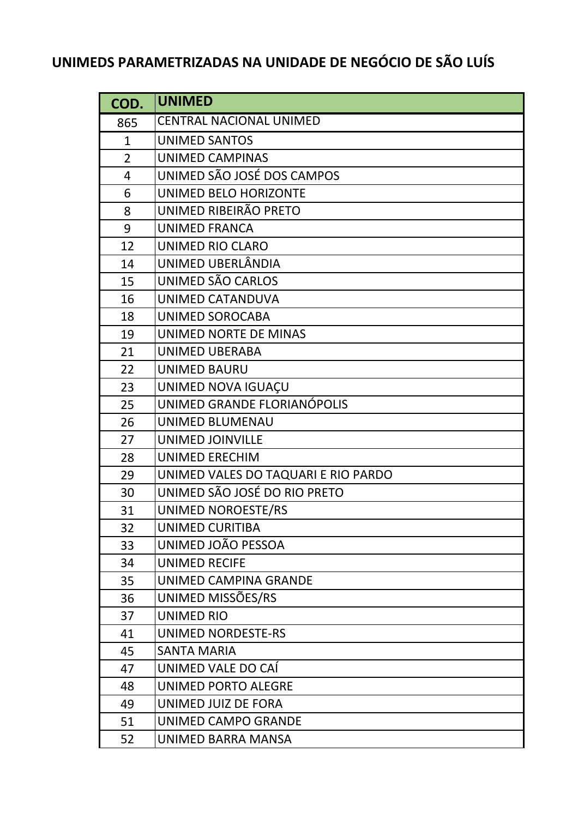## **UNIMEDS PARAMETRIZADAS NA UNIDADE DE NEGÓCIO DE SÃO LUÍS**

| COD.           | <b>UNIMED</b>                       |
|----------------|-------------------------------------|
| 865            | <b>CENTRAL NACIONAL UNIMED</b>      |
| $\mathbf{1}$   | <b>UNIMED SANTOS</b>                |
| $\overline{2}$ | <b>UNIMED CAMPINAS</b>              |
| $\overline{4}$ | UNIMED SÃO JOSÉ DOS CAMPOS          |
| 6              | UNIMED BELO HORIZONTE               |
| 8              | UNIMED RIBEIRÃO PRETO               |
| 9              | <b>UNIMED FRANCA</b>                |
| 12             | UNIMED RIO CLARO                    |
| 14             | UNIMED UBERLÂNDIA                   |
| 15             | UNIMED SÃO CARLOS                   |
| 16             | UNIMED CATANDUVA                    |
| 18             | UNIMED SOROCABA                     |
| 19             | UNIMED NORTE DE MINAS               |
| 21             | <b>UNIMED UBERABA</b>               |
| 22             | <b>UNIMED BAURU</b>                 |
| 23             | UNIMED NOVA IGUAÇU                  |
| 25             | UNIMED GRANDE FLORIANÓPOLIS         |
| 26             | <b>UNIMED BLUMENAU</b>              |
| 27             | <b>UNIMED JOINVILLE</b>             |
| 28             | <b>UNIMED ERECHIM</b>               |
| 29             | UNIMED VALES DO TAQUARI E RIO PARDO |
| 30             | UNIMED SÃO JOSÉ DO RIO PRETO        |
| 31             | UNIMED NOROESTE/RS                  |
| 32             | <b>UNIMED CURITIBA</b>              |
| 33             | UNIMED JOÃO PESSOA                  |
| 34             | <b>UNIMED RECIFE</b>                |
| 35             | UNIMED CAMPINA GRANDE               |
| 36             | UNIMED MISSÕES/RS                   |
| 37             | <b>UNIMED RIO</b>                   |
| 41             | <b>UNIMED NORDESTE-RS</b>           |
| 45             | <b>SANTA MARIA</b>                  |
| 47             | UNIMED VALE DO CAÍ                  |
| 48             | UNIMED PORTO ALEGRE                 |
| 49             | UNIMED JUIZ DE FORA                 |
| 51             | UNIMED CAMPO GRANDE                 |
| 52             | UNIMED BARRA MANSA                  |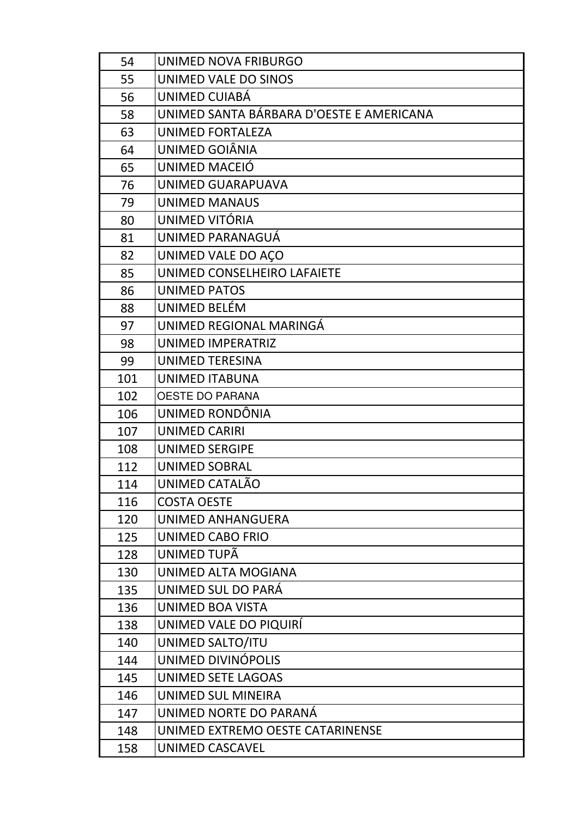| 54  | UNIMED NOVA FRIBURGO                     |
|-----|------------------------------------------|
| 55  | UNIMED VALE DO SINOS                     |
| 56  | UNIMED CUIABÁ                            |
| 58  | UNIMED SANTA BÁRBARA D'OESTE E AMERICANA |
| 63  | UNIMED FORTALEZA                         |
| 64  | UNIMED GOIÂNIA                           |
| 65  | UNIMED MACEIÓ                            |
| 76  | UNIMED GUARAPUAVA                        |
| 79  | UNIMED MANAUS                            |
| 80  | UNIMED VITÓRIA                           |
| 81  | UNIMED PARANAGUÁ                         |
| 82  | UNIMED VALE DO ACO                       |
| 85  | UNIMED CONSELHEIRO LAFAIETE              |
| 86  | UNIMED PATOS                             |
| 88  | UNIMED BELÉM                             |
| 97  | UNIMED REGIONAL MARINGÁ                  |
| 98  | UNIMED IMPERATRIZ                        |
| 99  | UNIMED TERESINA                          |
| 101 | UNIMED ITABUNA                           |
| 102 | <b>OESTE DO PARANA</b>                   |
| 106 | UNIMED RONDÔNIA                          |
| 107 | <b>UNIMED CARIRI</b>                     |
| 108 | UNIMED SERGIPE                           |
| 112 | <b>UNIMED SOBRAL</b>                     |
| 114 | UNIMED CATALÃO                           |
| 116 | <b>COSTA OESTE</b>                       |
| 120 | UNIMED ANHANGUERA                        |
| 125 | <b>UNIMED CABO FRIO</b>                  |
| 128 | UNIMED TUPÃ                              |
| 130 | UNIMED ALTA MOGIANA                      |
| 135 | UNIMED SUL DO PARÁ                       |
| 136 | UNIMED BOA VISTA                         |
| 138 | UNIMED VALE DO PIQUIRÍ                   |
| 140 | UNIMED SALTO/ITU                         |
| 144 | UNIMED DIVINÓPOLIS                       |
| 145 | UNIMED SETE LAGOAS                       |
| 146 | UNIMED SUL MINEIRA                       |
| 147 | UNIMED NORTE DO PARANÁ                   |
| 148 | UNIMED EXTREMO OESTE CATARINENSE         |
| 158 | UNIMED CASCAVEL                          |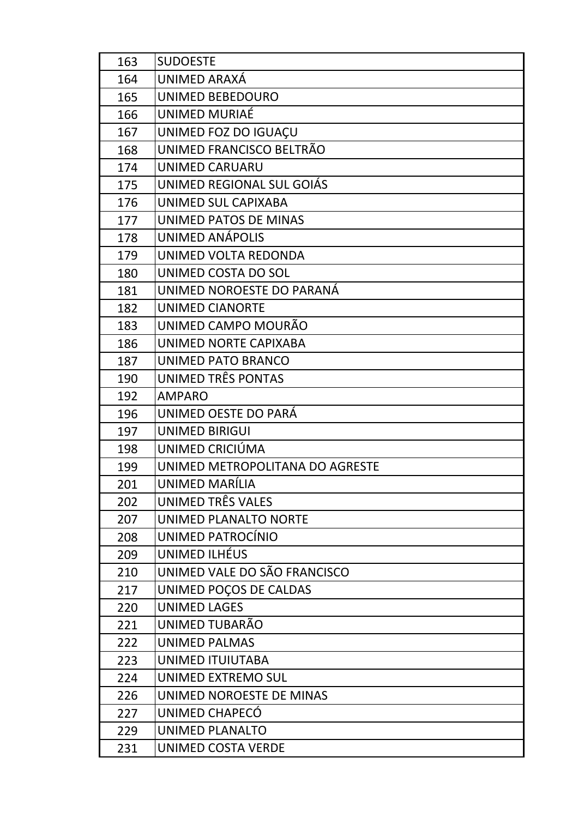| 163 | <b>SUDOESTE</b>                 |
|-----|---------------------------------|
| 164 | UNIMED ARAXÁ                    |
| 165 | UNIMED BEBEDOURO                |
| 166 | UNIMED MURIAÉ                   |
| 167 | UNIMED FOZ DO IGUAÇU            |
| 168 | UNIMED FRANCISCO BELTRÃO        |
| 174 | <b>UNIMED CARUARU</b>           |
| 175 | UNIMED REGIONAL SUL GOIÁS       |
| 176 | UNIMED SUL CAPIXABA             |
| 177 | UNIMED PATOS DE MINAS           |
| 178 | <b>UNIMED ANÁPOLIS</b>          |
| 179 | UNIMED VOLTA REDONDA            |
| 180 | UNIMED COSTA DO SOL             |
| 181 | UNIMED NOROESTE DO PARANÁ       |
| 182 | <b>UNIMED CIANORTE</b>          |
| 183 | UNIMED CAMPO MOURÃO             |
| 186 | UNIMED NORTE CAPIXABA           |
| 187 | UNIMED PATO BRANCO              |
| 190 | UNIMED TRÊS PONTAS              |
| 192 | <b>AMPARO</b>                   |
| 196 | UNIMED OESTE DO PARÁ            |
| 197 | <b>UNIMED BIRIGUI</b>           |
| 198 | UNIMED CRICIÚMA                 |
| 199 | UNIMED METROPOLITANA DO AGRESTE |
| 201 | UNIMED MARÍLIA                  |
| 202 | UNIMED TRÊS VALES               |
| 207 | UNIMED PLANALTO NORTE           |
| 208 | UNIMED PATROCÍNIO               |
| 209 | UNIMED ILHÉUS                   |
| 210 | UNIMED VALE DO SÃO FRANCISCO    |
| 217 | UNIMED POÇOS DE CALDAS          |
| 220 | <b>UNIMED LAGES</b>             |
| 221 | UNIMED TUBARÃO                  |
| 222 | <b>UNIMED PALMAS</b>            |
| 223 | UNIMED ITUIUTABA                |
| 224 | UNIMED EXTREMO SUL              |
| 226 | UNIMED NOROESTE DE MINAS        |
| 227 | UNIMED CHAPECÓ                  |
| 229 | UNIMED PLANALTO                 |
| 231 | UNIMED COSTA VERDE              |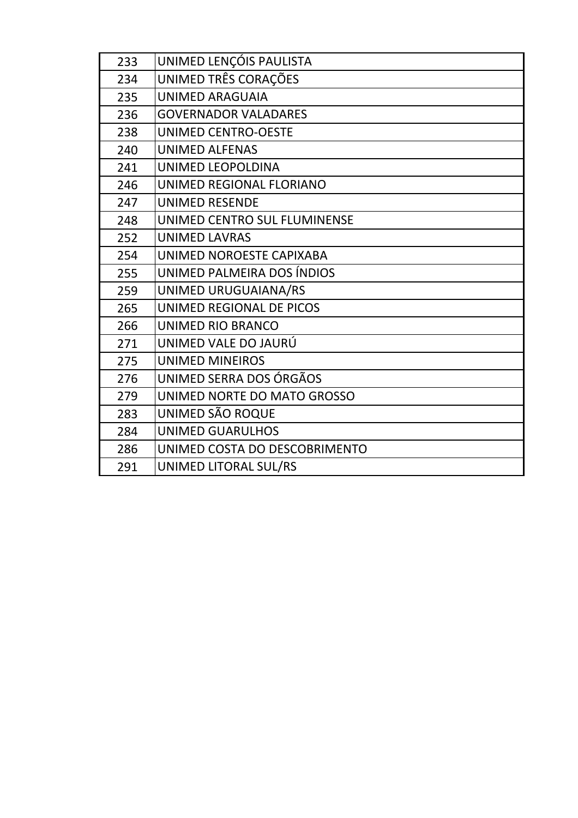| 233 | UNIMED LENÇÓIS PAULISTA       |
|-----|-------------------------------|
| 234 | UNIMED TRÊS CORAÇÕES          |
| 235 | <b>UNIMED ARAGUAIA</b>        |
| 236 | <b>GOVERNADOR VALADARES</b>   |
| 238 | UNIMED CENTRO-OESTE           |
| 240 | <b>UNIMED ALFENAS</b>         |
| 241 | UNIMED LEOPOLDINA             |
| 246 | UNIMED REGIONAL FLORIANO      |
| 247 | <b>UNIMED RESENDE</b>         |
| 248 | UNIMED CENTRO SUL FLUMINENSE  |
| 252 | <b>UNIMED LAVRAS</b>          |
| 254 | UNIMED NOROESTE CAPIXABA      |
| 255 | UNIMED PALMEIRA DOS ÍNDIOS    |
| 259 | UNIMED URUGUAIANA/RS          |
| 265 | UNIMED REGIONAL DE PICOS      |
| 266 | UNIMED RIO BRANCO             |
| 271 | UNIMED VALE DO JAURÚ          |
| 275 | <b>UNIMED MINEIROS</b>        |
| 276 | UNIMED SERRA DOS ÓRGÃOS       |
| 279 | UNIMED NORTE DO MATO GROSSO   |
| 283 | UNIMED SÃO ROQUE              |
| 284 | <b>UNIMED GUARULHOS</b>       |
| 286 | UNIMED COSTA DO DESCOBRIMENTO |
| 291 | UNIMED LITORAL SUL/RS         |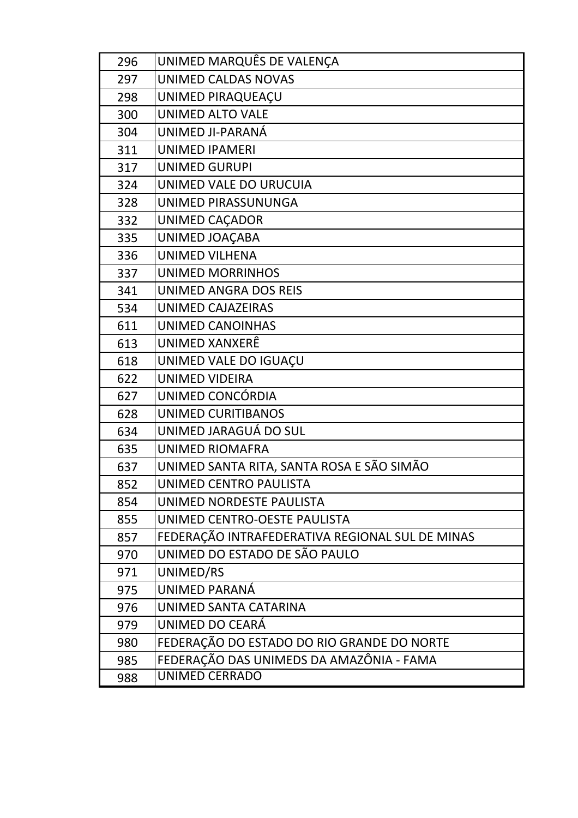| 296 | UNIMED MARQUÊS DE VALENÇA                       |
|-----|-------------------------------------------------|
| 297 | UNIMED CALDAS NOVAS                             |
| 298 | UNIMED PIRAQUEAÇU                               |
| 300 | <b>UNIMED ALTO VALE</b>                         |
| 304 | UNIMED JI-PARANÁ                                |
| 311 | <b>UNIMED IPAMERI</b>                           |
| 317 | UNIMED GURUPI                                   |
| 324 | UNIMED VALE DO URUCUIA                          |
| 328 | UNIMED PIRASSUNUNGA                             |
| 332 | UNIMED CAÇADOR                                  |
| 335 | UNIMED JOAÇABA                                  |
| 336 | <b>UNIMED VILHENA</b>                           |
| 337 | <b>UNIMED MORRINHOS</b>                         |
| 341 | UNIMED ANGRA DOS REIS                           |
| 534 | <b>UNIMED CAJAZEIRAS</b>                        |
| 611 | UNIMED CANOINHAS                                |
| 613 | UNIMED XANXERÊ                                  |
| 618 | UNIMED VALE DO IGUAÇU                           |
| 622 | <b>UNIMED VIDEIRA</b>                           |
| 627 | UNIMED CONCÓRDIA                                |
| 628 | UNIMED CURITIBANOS                              |
| 634 | UNIMED JARAGUÁ DO SUL                           |
| 635 | UNIMED RIOMAFRA                                 |
| 637 | UNIMED SANTA RITA, SANTA ROSA E SÃO SIMÃO       |
| 852 | UNIMED CENTRO PAULISTA                          |
| 854 | UNIMED NORDESTE PAULISTA                        |
| 855 | UNIMED CENTRO-OESTE PAULISTA                    |
| 857 | FEDERAÇÃO INTRAFEDERATIVA REGIONAL SUL DE MINAS |
| 970 | UNIMED DO ESTADO DE SÃO PAULO                   |
| 971 | UNIMED/RS                                       |
| 975 | UNIMED PARANÁ                                   |
| 976 | UNIMED SANTA CATARINA                           |
| 979 | UNIMED DO CEARÁ                                 |
| 980 | FEDERAÇÃO DO ESTADO DO RIO GRANDE DO NORTE      |
| 985 | FEDERAÇÃO DAS UNIMEDS DA AMAZÔNIA - FAMA        |
| 988 | <b>UNIMED CERRADO</b>                           |